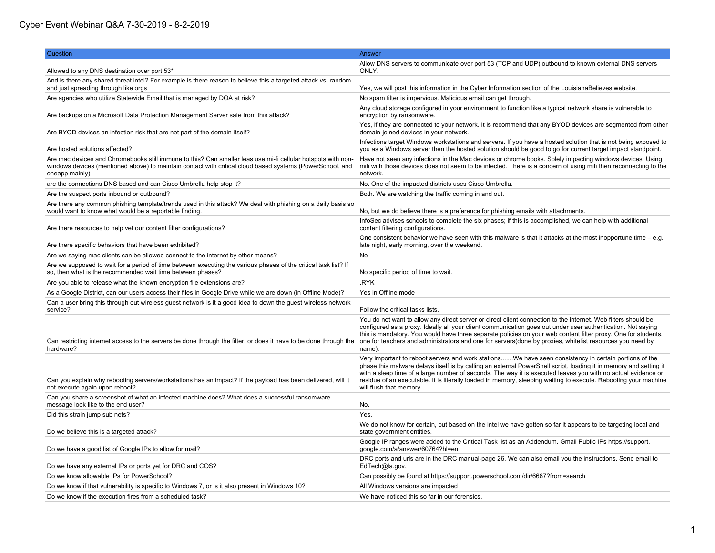## Cyber Event Webinar Q&A 7-30-2019 - 8-2-2019

| Question                                                                                                                                                                                                                                    | Answer                                                                                                                                                                                                                                                                                                                                                                                                                                                                                   |
|---------------------------------------------------------------------------------------------------------------------------------------------------------------------------------------------------------------------------------------------|------------------------------------------------------------------------------------------------------------------------------------------------------------------------------------------------------------------------------------------------------------------------------------------------------------------------------------------------------------------------------------------------------------------------------------------------------------------------------------------|
| Allowed to any DNS destination over port 53*                                                                                                                                                                                                | Allow DNS servers to communicate over port 53 (TCP and UDP) outbound to known external DNS servers<br>ONLY.                                                                                                                                                                                                                                                                                                                                                                              |
| And is there any shared threat intel? For example is there reason to believe this a targeted attack vs. random<br>and just spreading through like orgs                                                                                      | Yes, we will post this information in the Cyber Information section of the LouisianaBelieves website.                                                                                                                                                                                                                                                                                                                                                                                    |
| Are agencies who utilize Statewide Email that is managed by DOA at risk?                                                                                                                                                                    | No spam filter is impervious. Malicious email can get through.                                                                                                                                                                                                                                                                                                                                                                                                                           |
|                                                                                                                                                                                                                                             | Any cloud storage configured in your environment to function like a typical network share is vulnerable to                                                                                                                                                                                                                                                                                                                                                                               |
| Are backups on a Microsoft Data Protection Management Server safe from this attack?                                                                                                                                                         | encryption by ransomware.                                                                                                                                                                                                                                                                                                                                                                                                                                                                |
| Are BYOD devices an infection risk that are not part of the domain itself?                                                                                                                                                                  | Yes, if they are connected to your network. It is recommend that any BYOD devices are segmented from other<br>domain-joined devices in your network.                                                                                                                                                                                                                                                                                                                                     |
| Are hosted solutions affected?                                                                                                                                                                                                              | Infections target Windows workstations and servers. If you have a hosted solution that is not being exposed to<br>you as a Windows server then the hosted solution should be good to go for current target impact standpoint.                                                                                                                                                                                                                                                            |
| Are mac devices and Chromebooks still immune to this? Can smaller leas use mi-fi cellular hotspots with non-<br>windows devices (mentioned above) to maintain contact with critical cloud based systems (PowerSchool, and<br>oneapp mainly) | Have not seen any infections in the Mac devices or chrome books. Solely impacting windows devices. Using<br>mifi with those devices does not seem to be infected. There is a concern of using mifi then reconnecting to the<br>network.                                                                                                                                                                                                                                                  |
| are the connections DNS based and can Cisco Umbrella help stop it?                                                                                                                                                                          | No. One of the impacted districts uses Cisco Umbrella.                                                                                                                                                                                                                                                                                                                                                                                                                                   |
| Are the suspect ports inbound or outbound?                                                                                                                                                                                                  | Both. We are watching the traffic coming in and out.                                                                                                                                                                                                                                                                                                                                                                                                                                     |
| Are there any common phishing template/trends used in this attack? We deal with phishing on a daily basis so<br>would want to know what would be a reportable finding.                                                                      | No, but we do believe there is a preference for phishing emails with attachments.                                                                                                                                                                                                                                                                                                                                                                                                        |
| Are there resources to help vet our content filter configurations?                                                                                                                                                                          | InfoSec advises schools to complete the six phases; if this is accomplished, we can help with additional<br>content filtering configurations.                                                                                                                                                                                                                                                                                                                                            |
| Are there specific behaviors that have been exhibited?                                                                                                                                                                                      | One consistent behavior we have seen with this malware is that it attacks at the most inopportune time $-$ e.g.<br>late night, early morning, over the weekend.                                                                                                                                                                                                                                                                                                                          |
| Are we saying mac clients can be allowed connect to the internet by other means?                                                                                                                                                            | No                                                                                                                                                                                                                                                                                                                                                                                                                                                                                       |
| Are we supposed to wait for a period of time between executing the various phases of the critical task list? If<br>so, then what is the recommended wait time between phases?                                                               | No specific period of time to wait.                                                                                                                                                                                                                                                                                                                                                                                                                                                      |
| Are you able to release what the known encryption file extensions are?                                                                                                                                                                      | .RYK                                                                                                                                                                                                                                                                                                                                                                                                                                                                                     |
| As a Google District, can our users access their files in Google Drive while we are down (in Offline Mode)?                                                                                                                                 | Yes in Offline mode                                                                                                                                                                                                                                                                                                                                                                                                                                                                      |
| Can a user bring this through out wireless guest network is it a good idea to down the guest wireless network<br>service?                                                                                                                   | Follow the critical tasks lists.                                                                                                                                                                                                                                                                                                                                                                                                                                                         |
| Can restricting internet access to the servers be done through the filter, or does it have to be done through the<br>hardware?                                                                                                              | You do not want to allow any direct server or direct client connection to the internet. Web filters should be<br>configured as a proxy. Ideally all your client communication goes out under user authentication. Not saying<br>this is mandatory. You would have three separate policies on your web content filter proxy. One for students,<br>one for teachers and administrators and one for servers(done by proxies, whitelist resources you need by<br>name).                      |
| Can you explain why rebooting servers/workstations has an impact? If the payload has been delivered, will it<br>not execute again upon reboot?                                                                                              | Very important to reboot servers and work stationsWe have seen consistency in certain portions of the<br>phase this malware delays itself is by calling an external PowerShell script, loading it in memory and setting it<br>with a sleep time of a large number of seconds. The way it is executed leaves you with no actual evidence or<br>residue of an executable. It is literally loaded in memory, sleeping waiting to execute. Rebooting your machine<br>will flush that memory. |
| Can you share a screenshot of what an infected machine does? What does a successful ransomware<br>message look like to the end user?                                                                                                        | No.                                                                                                                                                                                                                                                                                                                                                                                                                                                                                      |
| Did this strain jump sub nets?                                                                                                                                                                                                              | Yes.                                                                                                                                                                                                                                                                                                                                                                                                                                                                                     |
| Do we believe this is a targeted attack?                                                                                                                                                                                                    | We do not know for certain, but based on the intel we have gotten so far it appears to be targeting local and<br>state government entities.                                                                                                                                                                                                                                                                                                                                              |
| Do we have a good list of Google IPs to allow for mail?                                                                                                                                                                                     | Google IP ranges were added to the Critical Task list as an Addendum. Gmail Public IPs https://support.<br>qoogle.com/a/answer/60764?hl=en                                                                                                                                                                                                                                                                                                                                               |
| Do we have any external IPs or ports yet for DRC and COS?                                                                                                                                                                                   | DRC ports and urls are in the DRC manual-page 26. We can also email you the instructions. Send email to<br>EdTech@la.gov.                                                                                                                                                                                                                                                                                                                                                                |
| Do we know allowable IPs for PowerSchool?                                                                                                                                                                                                   | Can possibly be found at https://support.powerschool.com/dir/6687?from=search                                                                                                                                                                                                                                                                                                                                                                                                            |
| Do we know if that vulnerability is specific to Windows 7, or is it also present in Windows 10?                                                                                                                                             | All Windows versions are impacted                                                                                                                                                                                                                                                                                                                                                                                                                                                        |
| Do we know if the execution fires from a scheduled task?                                                                                                                                                                                    | We have noticed this so far in our forensics.                                                                                                                                                                                                                                                                                                                                                                                                                                            |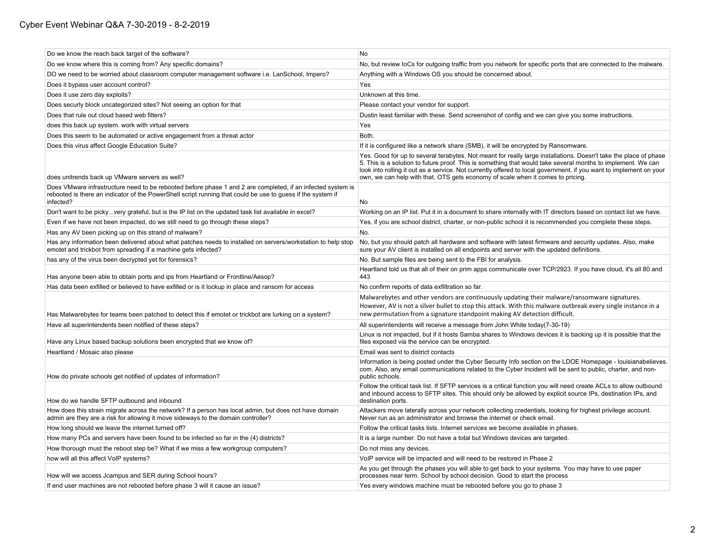| Do we know the reach back target of the software?                                                                                                                                                                                       | <b>No</b>                                                                                                                                                                                                                                                                                                                                                                                                                                 |
|-----------------------------------------------------------------------------------------------------------------------------------------------------------------------------------------------------------------------------------------|-------------------------------------------------------------------------------------------------------------------------------------------------------------------------------------------------------------------------------------------------------------------------------------------------------------------------------------------------------------------------------------------------------------------------------------------|
| Do we know where this is coming from? Any specific domains?                                                                                                                                                                             | No, but review loCs for outgoing traffic from you network for specific ports that are connected to the malware.                                                                                                                                                                                                                                                                                                                           |
| DO we need to be worried about classroom computer management software i.e. LanSchool, Impero?                                                                                                                                           | Anything with a Windows OS you should be concerned about.                                                                                                                                                                                                                                                                                                                                                                                 |
| Does it bypass user account control?                                                                                                                                                                                                    | Yes                                                                                                                                                                                                                                                                                                                                                                                                                                       |
| Does it use zero day exploits?                                                                                                                                                                                                          | Unknown at this time.                                                                                                                                                                                                                                                                                                                                                                                                                     |
| Does securly block uncategorized sites? Not seeing an option for that                                                                                                                                                                   | Please contact your vendor for support.                                                                                                                                                                                                                                                                                                                                                                                                   |
| Does that rule out cloud based web filters?                                                                                                                                                                                             | Dustin least familiar with these. Send screenshot of config and we can give you some instructions.                                                                                                                                                                                                                                                                                                                                        |
| does this back up system, work with virtual servers                                                                                                                                                                                     | Yes                                                                                                                                                                                                                                                                                                                                                                                                                                       |
| Does this seem to be automated or active engagement from a threat actor                                                                                                                                                                 | Both.                                                                                                                                                                                                                                                                                                                                                                                                                                     |
| Does this virus affect Google Education Suite?                                                                                                                                                                                          | If it is configured like a network share (SMB), it will be encrypted by Ransomware.                                                                                                                                                                                                                                                                                                                                                       |
| does unitrends back up VMware servers as well?                                                                                                                                                                                          | Yes. Good for up to several terabytes. Not meant for really large installations. Doesn't take the place of phase<br>5. This is a solution to future proof. This is something that would take several months to implement. We can<br>look into rolling it out as a service. Not currently offered to local government. If you want to implement on your<br>own, we can help with that. OTS gets economy of scale when it comes to pricing. |
| Does VMware infrastructure need to be rebooted before phase 1 and 2 are completed, if an infected system is<br>rebooted is there an indicator of the PowerShell script running that could be use to guess if the system if<br>infected? | No                                                                                                                                                                                                                                                                                                                                                                                                                                        |
| Don't want to be pickyvery grateful, but is the IP list on the updated task list available in excel?                                                                                                                                    | Working on an IP list. Put it in a document to share internally with IT directors based on contact list we have.                                                                                                                                                                                                                                                                                                                          |
| Even if we have not been impacted, do we still need to go through these steps?                                                                                                                                                          | Yes, if you are school district, charter, or non-public school it is recommended you complete these steps.                                                                                                                                                                                                                                                                                                                                |
| Has any AV been picking up on this strand of malware?                                                                                                                                                                                   | No.                                                                                                                                                                                                                                                                                                                                                                                                                                       |
| Has any information been delivered about what patches needs to installed on servers/workstation to help stop<br>emotet and trickbot from spreading if a machine gets infected?                                                          | No, but you should patch all hardware and software with latest firmware and security updates. Also, make<br>sure your AV client is installed on all endpoints and server with the updated definitions.                                                                                                                                                                                                                                    |
| has any of the virus been decrypted yet for forensics?                                                                                                                                                                                  | No. But sample files are being sent to the FBI for analysis.                                                                                                                                                                                                                                                                                                                                                                              |
| Has anyone been able to obtain ports and ips from Heartland or Frontline/Aesop?                                                                                                                                                         | Heartland told us that all of their on prim apps communicate over TCP/2923. If you have cloud, it's all 80 and<br>443                                                                                                                                                                                                                                                                                                                     |
| Has data been exfilled or believed to have exfilled or is it lockup in place and ransom for access                                                                                                                                      | No confirm reports of data exfiltration so far.                                                                                                                                                                                                                                                                                                                                                                                           |
| Has Malwarebytes for teams been patched to detect this if emotet or trickbot are lurking on a system?                                                                                                                                   | Malwarebytes and other vendors are continuously updating their malware/ransomware signatures.<br>However, AV is not a silver bullet to stop this attack. With this malware outbreak every single instance in a<br>new permutation from a signature standpoint making AV detection difficult.                                                                                                                                              |
| Have all superintendents been notified of these steps?                                                                                                                                                                                  | All superintendents will receive a message from John White today(7-30-19)                                                                                                                                                                                                                                                                                                                                                                 |
| Have any Linux based backup solutions been encrypted that we know of?                                                                                                                                                                   | Linux is not impacted, but if it hosts Samba shares to Windows devices it is backing up it is possible that the<br>files exposed via the service can be encrypted.                                                                                                                                                                                                                                                                        |
| Heartland / Mosaic also please                                                                                                                                                                                                          | Email was sent to district contacts                                                                                                                                                                                                                                                                                                                                                                                                       |
| How do private schools get notified of updates of information?                                                                                                                                                                          | Information is being posted under the Cyber Security Info section on the LDOE Homepage - louisianabelieves.<br>com. Also, any email communications related to the Cyber Incident will be sent to public, charter, and non-<br>public schools.                                                                                                                                                                                             |
| How do we handle SFTP outbound and inbound                                                                                                                                                                                              | Follow the critical task list. If SFTP services is a critical function you will need create ACLs to allow outbound<br>and inbound access to SFTP sites. This should only be allowed by explicit source IPs, destination IPs, and<br>destination ports.                                                                                                                                                                                    |
| How does this strain migrate across the network? If a person has local admin, but does not have domain<br>admin are they are a risk for allowing it move sideways to the domain controller?                                             | Attackers move laterally across your network collecting credentials, looking for highest privilege account.<br>Never run as an administrator and browse the internet or check email.                                                                                                                                                                                                                                                      |
| How long should we leave the internet turned off?                                                                                                                                                                                       | Follow the critical tasks lists. Internet services we become available in phases.                                                                                                                                                                                                                                                                                                                                                         |
| How many PCs and servers have been found to be infected so far in the (4) districts?                                                                                                                                                    | It is a large number. Do not have a total but Windows devices are targeted.                                                                                                                                                                                                                                                                                                                                                               |
| How thorough must the reboot step be? What if we miss a few workgroup computers?                                                                                                                                                        | Do not miss any devices.                                                                                                                                                                                                                                                                                                                                                                                                                  |
| how will all this affect VoIP systems?                                                                                                                                                                                                  | VoIP service will be impacted and will need to be restored in Phase 2                                                                                                                                                                                                                                                                                                                                                                     |
| How will we access Jcampus and SER during School hours?                                                                                                                                                                                 | As you get through the phases you will able to get back to your systems. You may have to use paper<br>processes near term. School by school decision. Good to start the process                                                                                                                                                                                                                                                           |
| If end user machines are not rebooted before phase 3 will it cause an issue?                                                                                                                                                            | Yes every windows machine must be rebooted before you go to phase 3                                                                                                                                                                                                                                                                                                                                                                       |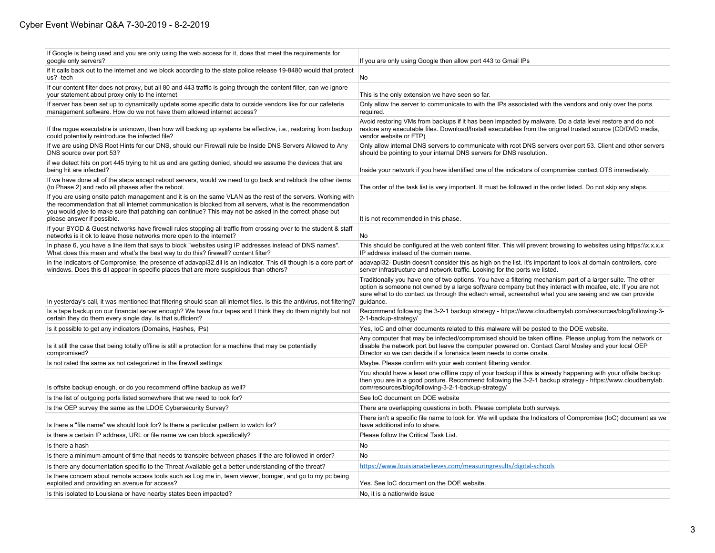| If Google is being used and you are only using the web access for it, does that meet the requirements for<br>google only servers?                                                                                                                                                                                                                                  | If you are only using Google then allow port 443 to Gmail IPs                                                                                                                                                                                                                                                                                    |
|--------------------------------------------------------------------------------------------------------------------------------------------------------------------------------------------------------------------------------------------------------------------------------------------------------------------------------------------------------------------|--------------------------------------------------------------------------------------------------------------------------------------------------------------------------------------------------------------------------------------------------------------------------------------------------------------------------------------------------|
| if it calls back out to the internet and we block according to the state police release 19-8480 would that protect<br>us? -tech                                                                                                                                                                                                                                    | No                                                                                                                                                                                                                                                                                                                                               |
| If our content filter does not proxy, but all 80 and 443 traffic is going through the content filter, can we ignore<br>your statement about proxy only to the internet                                                                                                                                                                                             | This is the only extension we have seen so far.                                                                                                                                                                                                                                                                                                  |
| If server has been set up to dynamically update some specific data to outside vendors like for our cafeteria<br>management software. How do we not have them allowed internet access?                                                                                                                                                                              | Only allow the server to communicate to with the IPs associated with the vendors and only over the ports<br>required.                                                                                                                                                                                                                            |
| If the rogue executable is unknown, then how will backing up systems be effective, i.e., restoring from backup<br>could potentially reintroduce the infected file?                                                                                                                                                                                                 | Avoid restoring VMs from backups if it has been impacted by malware. Do a data level restore and do not<br>restore any executable files. Download/Install executables from the original trusted source (CD/DVD media,<br>vendor website or FTP)                                                                                                  |
| If we are using DNS Root Hints for our DNS, should our Firewall rule be Inside DNS Servers Allowed to Any<br>DNS source over port 53?                                                                                                                                                                                                                              | Only allow internal DNS servers to communicate with root DNS servers over port 53. Client and other servers<br>should be pointing to your internal DNS servers for DNS resolution.                                                                                                                                                               |
| if we detect hits on port 445 trying to hit us and are getting denied, should we assume the devices that are<br>being hit are infected?                                                                                                                                                                                                                            | Inside your network if you have identified one of the indicators of compromise contact OTS immediately.                                                                                                                                                                                                                                          |
| If we have done all of the steps except reboot servers, would we need to go back and reblock the other items<br>(to Phase 2) and redo all phases after the reboot.                                                                                                                                                                                                 | The order of the task list is very important. It must be followed in the order listed. Do not skip any steps.                                                                                                                                                                                                                                    |
| If you are using onsite patch management and it is on the same VLAN as the rest of the servers. Working with<br>the recommendation that all internet communication is blocked from all servers, what is the recommendation<br>you would give to make sure that patching can continue? This may not be asked in the correct phase but<br>please answer if possible. | It is not recommended in this phase.                                                                                                                                                                                                                                                                                                             |
| If your BYOD & Guest networks have firewall rules stopping all traffic from crossing over to the student & staff<br>networks is it ok to leave those networks more open to the internet?                                                                                                                                                                           | No                                                                                                                                                                                                                                                                                                                                               |
| In phase 6, you have a line item that says to block "websites using IP addresses instead of DNS names".<br>What does this mean and what's the best way to do this? firewall? content filter?                                                                                                                                                                       | This should be configured at the web content filter. This will prevent browsing to websites using https://x.x.x.x<br>IP address instead of the domain name.                                                                                                                                                                                      |
| in the Indicators of Compromise, the presence of adavapi32.dll is an indicator. This dll though is a core part of<br>windows. Does this dll appear in specific places that are more suspicious than others?                                                                                                                                                        | adavapi32- Dustin doesn't consider this as high on the list. It's important to look at domain controllers, core<br>server infrastructure and network traffic. Looking for the ports we listed.                                                                                                                                                   |
| In yesterday's call, it was mentioned that filtering should scan all internet files. Is this the antivirus, not filtering?                                                                                                                                                                                                                                         | Traditionally you have one of two options. You have a filtering mechanism part of a larger suite. The other<br>option is someone not owned by a large software company but they interact with mcafee, etc. If you are not<br>sure what to do contact us through the edtech email, screenshot what you are seeing and we can provide<br>guidance. |
| Is a tape backup on our financial server enough? We have four tapes and I think they do them nightly but not<br>certain they do them every single day. Is that sufficient?                                                                                                                                                                                         | Recommend following the 3-2-1 backup strategy - https://www.cloudberrylab.com/resources/blog/following-3-<br>2-1-backup-strategy/                                                                                                                                                                                                                |
| Is it possible to get any indicators (Domains, Hashes, IPs)                                                                                                                                                                                                                                                                                                        | Yes, loC and other documents related to this malware will be posted to the DOE website.                                                                                                                                                                                                                                                          |
| Is it still the case that being totally offline is still a protection for a machine that may be potentially<br>compromised?                                                                                                                                                                                                                                        | Any computer that may be infected/compromised should be taken offline. Please unplug from the network or<br>disable the network port but leave the computer powered on. Contact Carol Mosley and your local OEP<br>Director so we can decide if a forensics team needs to come onsite.                                                           |
| Is not rated the same as not categorized in the firewall settings                                                                                                                                                                                                                                                                                                  | Maybe. Please confirm with your web content filtering vendor.                                                                                                                                                                                                                                                                                    |
| Is offsite backup enough, or do you recommend offline backup as well?                                                                                                                                                                                                                                                                                              | You should have a least one offline copy of your backup if this is already happening with your offsite backup<br>then you are in a good posture. Recommend following the 3-2-1 backup strategy - https://www.cloudberrylab.<br>com/resources/blog/following-3-2-1-backup-strategy/                                                               |
| Is the list of outgoing ports listed somewhere that we need to look for?                                                                                                                                                                                                                                                                                           | See IoC document on DOE website                                                                                                                                                                                                                                                                                                                  |
| Is the OEP survey the same as the LDOE Cybersecurity Survey?                                                                                                                                                                                                                                                                                                       | There are overlapping questions in both. Please complete both surveys.                                                                                                                                                                                                                                                                           |
| Is there a "file name" we should look for? Is there a particular pattern to watch for?                                                                                                                                                                                                                                                                             | There isn't a specific file name to look for. We will update the Indicators of Compromise (loC) document as we<br>have additional info to share.                                                                                                                                                                                                 |
| is there a certain IP address, URL or file name we can block specifically?                                                                                                                                                                                                                                                                                         | Please follow the Critical Task List.                                                                                                                                                                                                                                                                                                            |
| Is there a hash                                                                                                                                                                                                                                                                                                                                                    | <b>No</b>                                                                                                                                                                                                                                                                                                                                        |
| Is there a minimum amount of time that needs to transpire between phases if the are followed in order?                                                                                                                                                                                                                                                             | No                                                                                                                                                                                                                                                                                                                                               |
| Is there any documentation specific to the Threat Available get a better understanding of the threat?                                                                                                                                                                                                                                                              | https://www.louisianabelieves.com/measuringresults/digital-schools                                                                                                                                                                                                                                                                               |
| Is there concern about remote access tools such as Log me in, team viewer, bomgar, and go to my pc being<br>exploited and providing an avenue for access?                                                                                                                                                                                                          | Yes. See IoC document on the DOE website.                                                                                                                                                                                                                                                                                                        |
| Is this isolated to Louisiana or have nearby states been impacted?                                                                                                                                                                                                                                                                                                 | No, it is a nationwide issue                                                                                                                                                                                                                                                                                                                     |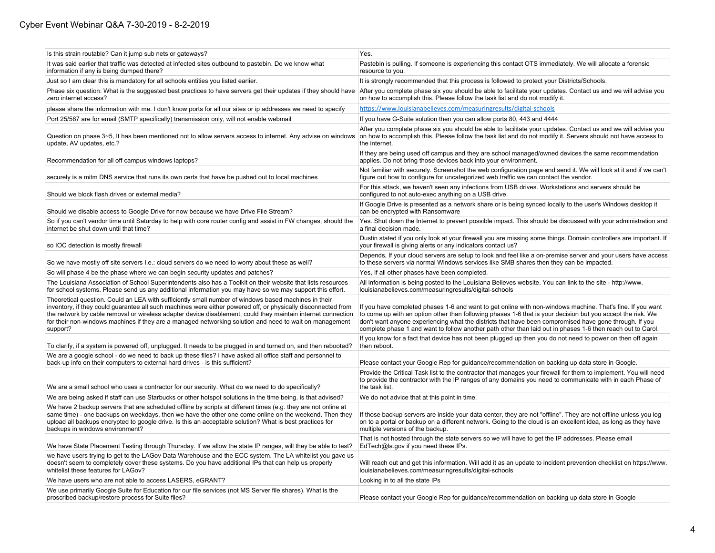## Cyber Event Webinar Q&A 7-30-2019 - 8-2-2019

| Is this strain routable? Can it jump sub nets or gateways?                                                                                                                                                                                                                                                                                                                                                                                                   | Yes.                                                                                                                                                                                                                                                                                                                                                                                                                                               |
|--------------------------------------------------------------------------------------------------------------------------------------------------------------------------------------------------------------------------------------------------------------------------------------------------------------------------------------------------------------------------------------------------------------------------------------------------------------|----------------------------------------------------------------------------------------------------------------------------------------------------------------------------------------------------------------------------------------------------------------------------------------------------------------------------------------------------------------------------------------------------------------------------------------------------|
| It was said earlier that traffic was detected at infected sites outbound to pastebin. Do we know what<br>information if any is being dumped there?                                                                                                                                                                                                                                                                                                           | Pastebin is pulling. If someone is experiencing this contact OTS immediately. We will allocate a forensic<br>resource to you.                                                                                                                                                                                                                                                                                                                      |
| Just so I am clear this is mandatory for all schools entities you listed earlier.                                                                                                                                                                                                                                                                                                                                                                            | It is strongly recommended that this process is followed to protect your Districts/Schools.                                                                                                                                                                                                                                                                                                                                                        |
| Phase six question: What is the suggested best practices to have servers get their updates if they should have<br>zero internet access?                                                                                                                                                                                                                                                                                                                      | After you complete phase six you should be able to facilitate your updates. Contact us and we will advise you<br>on how to accomplish this. Please follow the task list and do not modify it.                                                                                                                                                                                                                                                      |
| please share the information with me. I don't know ports for all our sites or ip addresses we need to specify                                                                                                                                                                                                                                                                                                                                                | https://www.louisianabelieves.com/measuringresults/digital-schools                                                                                                                                                                                                                                                                                                                                                                                 |
| Port 25/587 are for email (SMTP specifically) transmission only, will not enable webmail                                                                                                                                                                                                                                                                                                                                                                     | If you have G-Suite solution then you can allow ports 80, 443 and 4444                                                                                                                                                                                                                                                                                                                                                                             |
| Question on phase 3~5, It has been mentioned not to allow servers access to internet. Any advise on windows<br>update, AV updates, etc.?                                                                                                                                                                                                                                                                                                                     | After you complete phase six you should be able to facilitate your updates. Contact us and we will advise you<br>on how to accomplish this. Please follow the task list and do not modify it. Servers should not have access to<br>the internet.                                                                                                                                                                                                   |
| Recommendation for all off campus windows laptops?                                                                                                                                                                                                                                                                                                                                                                                                           | If they are being used off campus and they are school managed/owned devices the same recommendation<br>applies. Do not bring those devices back into your environment.                                                                                                                                                                                                                                                                             |
| securely is a mitm DNS service that runs its own certs that have be pushed out to local machines                                                                                                                                                                                                                                                                                                                                                             | Not familiar with securely. Screenshot the web configuration page and send it. We will look at it and if we can't<br>figure out how to configure for uncategorized web traffic we can contact the vendor.                                                                                                                                                                                                                                          |
| Should we block flash drives or external media?                                                                                                                                                                                                                                                                                                                                                                                                              | For this attack, we haven't seen any infections from USB drives. Workstations and servers should be<br>configured to not auto-exec anything on a USB drive.                                                                                                                                                                                                                                                                                        |
| Should we disable access to Google Drive for now because we have Drive File Stream?                                                                                                                                                                                                                                                                                                                                                                          | If Google Drive is presented as a network share or is being synced locally to the user's Windows desktop it<br>can be encrypted with Ransomware                                                                                                                                                                                                                                                                                                    |
| So if you can't vendor time until Saturday to help with core router config and assist in FW changes, should the<br>internet be shut down until that time?                                                                                                                                                                                                                                                                                                    | Yes. Shut down the Internet to prevent possible impact. This should be discussed with your administration and<br>a final decision made.                                                                                                                                                                                                                                                                                                            |
| so IOC detection is mostly firewall                                                                                                                                                                                                                                                                                                                                                                                                                          | Dustin stated if you only look at your firewall you are missing some things. Domain controllers are important. If<br>your firewall is giving alerts or any indicators contact us?                                                                                                                                                                                                                                                                  |
| So we have mostly off site servers I.e.: cloud servers do we need to worry about these as well?                                                                                                                                                                                                                                                                                                                                                              | Depends, If your cloud servers are setup to look and feel like a on-premise server and your users have access<br>to these servers via normal Windows services like SMB shares then they can be impacted.                                                                                                                                                                                                                                           |
| So will phase 4 be the phase where we can begin security updates and patches?                                                                                                                                                                                                                                                                                                                                                                                | Yes, If all other phases have been completed.                                                                                                                                                                                                                                                                                                                                                                                                      |
| The Louisiana Association of School Superintendents also has a Toolkit on their website that lists resources<br>for school systems. Please send us any additional information you may have so we may support this effort.                                                                                                                                                                                                                                    | All information is being posted to the Louisiana Believes website. You can link to the site - http://www.<br>louisianabelieves.com/measuringresults/digital-schools                                                                                                                                                                                                                                                                                |
| Theoretical question. Could an LEA with sufficiently small number of windows based machines in their<br>inventory, if they could guarantee all such machines were either powered off, or physically disconnected from<br>the network by cable removal or wireless adapter device disablement, could they maintain internet connection<br>for their non-windows machines if they are a managed networking solution and need to wait on management<br>support? | If you have completed phases 1-6 and want to get online with non-windows machine. That's fine. If you want<br>to come up with an option other than following phases 1-6 that is your decision but you accept the risk. We<br>don't want anyone experiencing what the districts that have been compromised have gone through. If you<br>complete phase 1 and want to follow another path other than laid out in phases 1-6 then reach out to Carol. |
| To clarify, if a system is powered off, unplugged. It needs to be plugged in and turned on, and then rebooted?                                                                                                                                                                                                                                                                                                                                               | If you know for a fact that device has not been plugged up then you do not need to power on then off again<br>then reboot.                                                                                                                                                                                                                                                                                                                         |
| We are a google school - do we need to back up these files? I have asked all office staff and personnel to<br>back-up info on their computers to external hard drives - is this sufficient?                                                                                                                                                                                                                                                                  | Please contact your Google Rep for guidance/recommendation on backing up data store in Google.                                                                                                                                                                                                                                                                                                                                                     |
| We are a small school who uses a contractor for our security. What do we need to do specifically?                                                                                                                                                                                                                                                                                                                                                            | Provide the Critical Task list to the contractor that manages your firewall for them to implement. You will need<br>to provide the contractor with the IP ranges of any domains you need to communicate with in each Phase of<br>the task list.                                                                                                                                                                                                    |
| We are being asked if staff can use Starbucks or other hotspot solutions in the time being. is that advised?                                                                                                                                                                                                                                                                                                                                                 | We do not advice that at this point in time.                                                                                                                                                                                                                                                                                                                                                                                                       |
| We have 2 backup servers that are scheduled offline by scripts at different times (e.g. they are not online at<br>same time) - one backups on weekdays, then we have the other one come online on the weekend. Then they<br>upload all backups encrypted to google drive. Is this an acceptable solution? What is best practices for<br>backups in windows environment?                                                                                      | If those backup servers are inside your data center, they are not "offline". They are not offline unless you log<br>on to a portal or backup on a different network. Going to the cloud is an excellent idea, as long as they have<br>multiple versions of the backup.                                                                                                                                                                             |
| We have State Placement Testing through Thursday. If we allow the state IP ranges, will they be able to test?                                                                                                                                                                                                                                                                                                                                                | That is not hosted through the state servers so we will have to get the IP addresses. Please email<br>EdTech@la.gov if you need these IPs.                                                                                                                                                                                                                                                                                                         |
| we have users trying to get to the LAGov Data Warehouse and the ECC system. The LA whitelist you gave us<br>doesn't seem to completely cover these systems. Do you have additional IPs that can help us properly<br>whitelist these features for LAGov?                                                                                                                                                                                                      | Will reach out and get this information. Will add it as an update to incident prevention checklist on https://www.<br>louisianabelieves.com/measuringresults/digital-schools                                                                                                                                                                                                                                                                       |
| We have users who are not able to access LASERS, eGRANT?                                                                                                                                                                                                                                                                                                                                                                                                     | Looking in to all the state IPs                                                                                                                                                                                                                                                                                                                                                                                                                    |
| We use primarily Google Suite for Education for our file services (not MS Server file shares). What is the<br>proscribed backup/restore process for Suite files?                                                                                                                                                                                                                                                                                             | Please contact your Google Rep for guidance/recommendation on backing up data store in Google                                                                                                                                                                                                                                                                                                                                                      |